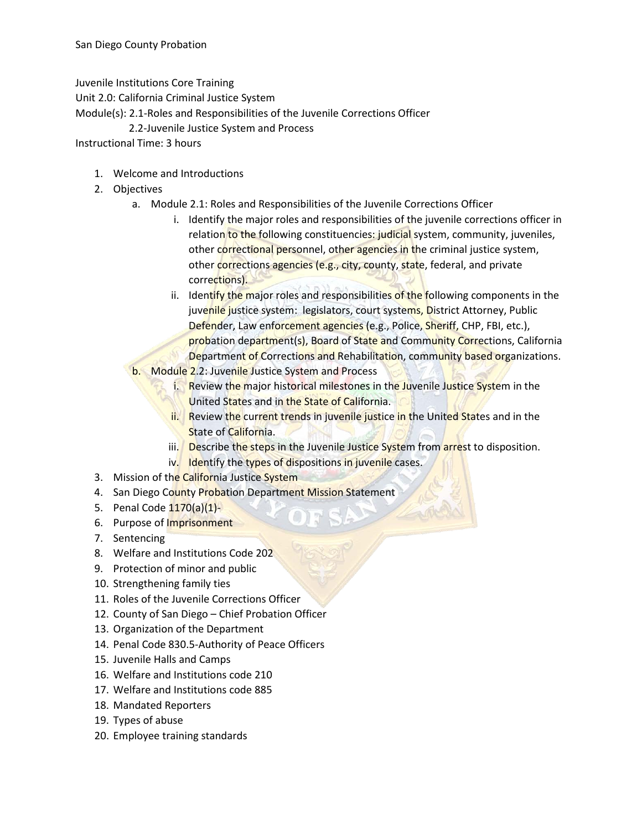Juvenile Institutions Core Training

Unit 2.0: California Criminal Justice System

Module(s): 2.1-Roles and Responsibilities of the Juvenile Corrections Officer

2.2-Juvenile Justice System and Process

Instructional Time: 3 hours

- 1. Welcome and Introductions
- 2. Objectives
	- a. Module 2.1: Roles and Responsibilities of the Juvenile Corrections Officer
		- i. Identify the major roles and responsibilities of the juvenile corrections officer in relation to the following constituencies: judicial system, community, juveniles, other correctional personnel, other agencies in the criminal justice system, other corrections agencies (e.g., city, county, state, federal, and private corrections).
		- ii. Identify the major roles and responsibilities of the following components in the juvenile justice system: legislators, court systems, District Attorney, Public Defender, Law enforcement agencies (e.g., Police, Sheriff, CHP, FBI, etc.), probation department(s), Board of State and Community Corrections, California Department of Corrections and Rehabilitation, community based organizations.
	- b. Module 2.2: Juvenile Justice System and Process
		- i. Review the major historical milestones in the Juvenile Justice System in the United States and in the State of California.
		- ii. Review the current trends in juvenile justice in the United States and in the **State of California.**
		- iii. Describe the steps in the Juvenile Justice System from arrest to disposition.
		- iv. Identify the types of dispositions in juvenile cases.
- 3. Mission of the California Justice System
- 4. San Diego County Probation Department Mission Statement
- 5. Penal Code 1170(a)(1)-
- 6. Purpose of Imprisonment
- 7. Sentencing
- 8. Welfare and Institutions Code 202
- 9. Protection of minor and public
- 10. Strengthening family ties
- 11. Roles of the Juvenile Corrections Officer
- 12. County of San Diego Chief Probation Officer
- 13. Organization of the Department
- 14. Penal Code 830.5-Authority of Peace Officers
- 15. Juvenile Halls and Camps
- 16. Welfare and Institutions code 210
- 17. Welfare and Institutions code 885
- 18. Mandated Reporters
- 19. Types of abuse
- 20. Employee training standards